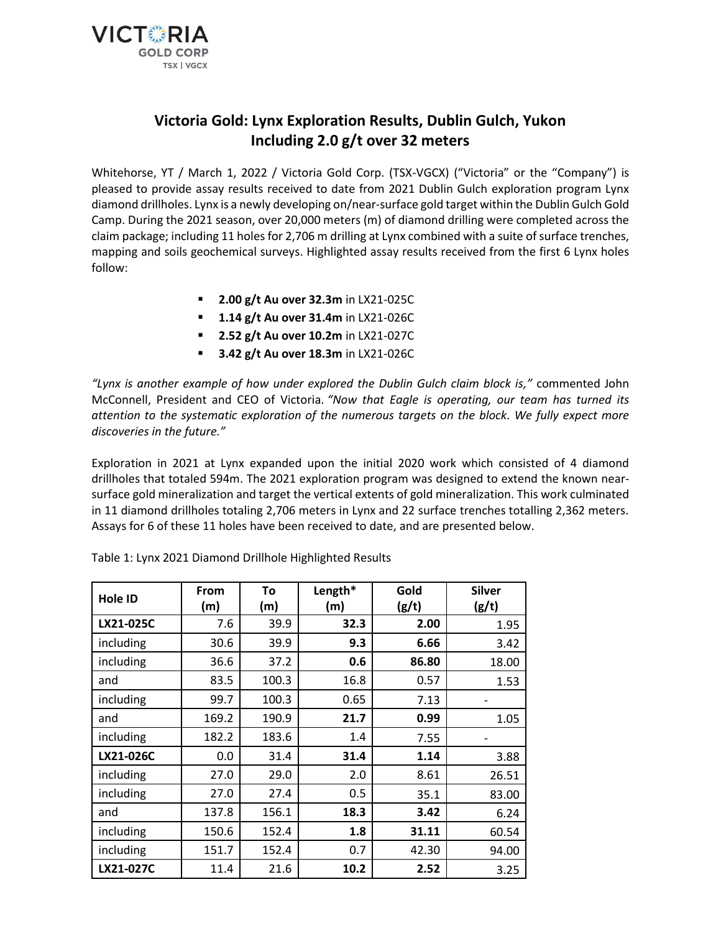

# **Victoria Gold: Lynx Exploration Results, Dublin Gulch, Yukon Including 2.0 g/t over 32 meters**

Whitehorse, YT / March 1, 2022 / Victoria Gold Corp. (TSX-VGCX) ("Victoria" or the "Company") is pleased to provide assay results received to date from 2021 Dublin Gulch exploration program Lynx diamond drillholes. Lynx is a newly developing on/near-surface gold target within the Dublin Gulch Gold Camp. During the 2021 season, over 20,000 meters (m) of diamond drilling were completed across the claim package; including 11 holes for 2,706 m drilling at Lynx combined with a suite of surface trenches, mapping and soils geochemical surveys. Highlighted assay results received from the first 6 Lynx holes follow:

- **2.00 g/t Au over 32.3m** in LX21-025C
- **1.14 g/t Au over 31.4m** in LX21-026C
- **2.52 g/t Au over 10.2m** in LX21-027C
- **3.42 g/t Au over 18.3m** in LX21-026C

*"Lynx is another example of how under explored the Dublin Gulch claim block is,"* commented John McConnell, President and CEO of Victoria. *"Now that Eagle is operating, our team has turned its attention to the systematic exploration of the numerous targets on the block. We fully expect more discoveries in the future."*

Exploration in 2021 at Lynx expanded upon the initial 2020 work which consisted of 4 diamond drillholes that totaled 594m. The 2021 exploration program was designed to extend the known nearsurface gold mineralization and target the vertical extents of gold mineralization. This work culminated in 11 diamond drillholes totaling 2,706 meters in Lynx and 22 surface trenches totalling 2,362 meters. Assays for 6 of these 11 holes have been received to date, and are presented below.

| Hole ID   | From<br>(m) | To<br>(m) | Length*<br>(m) | Gold<br>(g/t) | <b>Silver</b><br>(g/t) |
|-----------|-------------|-----------|----------------|---------------|------------------------|
| LX21-025C | 7.6         | 39.9      | 32.3           | 2.00          | 1.95                   |
| including | 30.6        | 39.9      | 9.3            | 6.66          | 3.42                   |
| including | 36.6        | 37.2      | 0.6            | 86.80         | 18.00                  |
| and       | 83.5        | 100.3     | 16.8           | 0.57          | 1.53                   |
| including | 99.7        | 100.3     | 0.65           | 7.13          |                        |
| and       | 169.2       | 190.9     | 21.7           | 0.99          | 1.05                   |
| including | 182.2       | 183.6     | 1.4            | 7.55          |                        |
| LX21-026C | 0.0         | 31.4      | 31.4           | 1.14          | 3.88                   |
| including | 27.0        | 29.0      | 2.0            | 8.61          | 26.51                  |
| including | 27.0        | 27.4      | 0.5            | 35.1          | 83.00                  |
| and       | 137.8       | 156.1     | 18.3           | 3.42          | 6.24                   |
| including | 150.6       | 152.4     | 1.8            | 31.11         | 60.54                  |
| including | 151.7       | 152.4     | 0.7            | 42.30         | 94.00                  |
| LX21-027C | 11.4        | 21.6      | 10.2           | 2.52          | 3.25                   |

Table 1: Lynx 2021 Diamond Drillhole Highlighted Results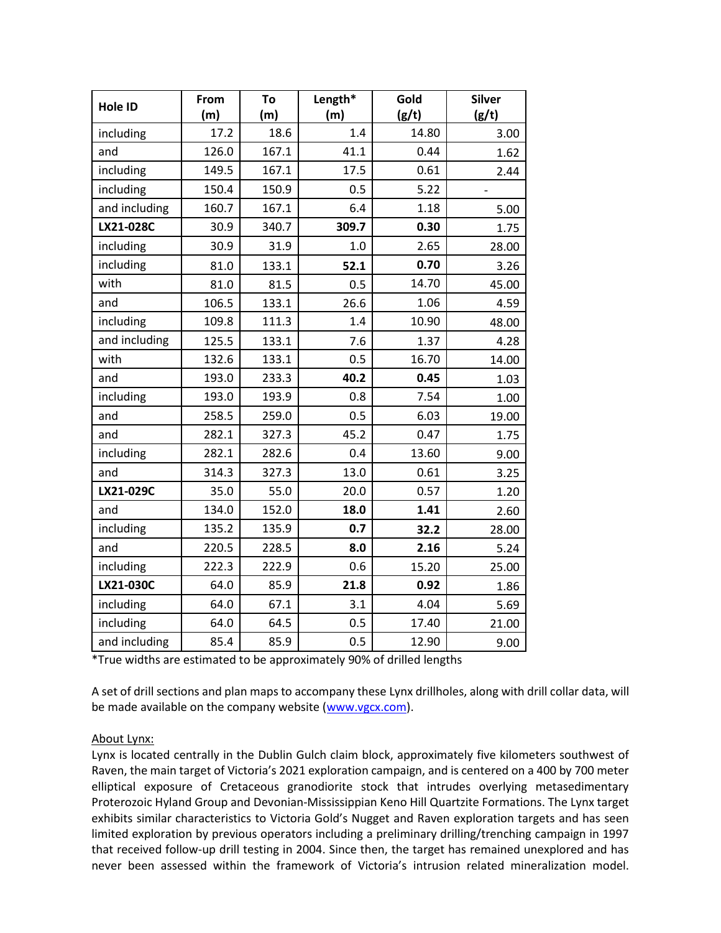| Hole ID       | From  | To    | Length* | Gold  | <b>Silver</b> |
|---------------|-------|-------|---------|-------|---------------|
|               | (m)   | (m)   | (m)     | (g/t) | (g/t)         |
| including     | 17.2  | 18.6  | 1.4     | 14.80 | 3.00          |
| and           | 126.0 | 167.1 | 41.1    | 0.44  | 1.62          |
| including     | 149.5 | 167.1 | 17.5    | 0.61  | 2.44          |
| including     | 150.4 | 150.9 | 0.5     | 5.22  |               |
| and including | 160.7 | 167.1 | 6.4     | 1.18  | 5.00          |
| LX21-028C     | 30.9  | 340.7 | 309.7   | 0.30  | 1.75          |
| including     | 30.9  | 31.9  | 1.0     | 2.65  | 28.00         |
| including     | 81.0  | 133.1 | 52.1    | 0.70  | 3.26          |
| with          | 81.0  | 81.5  | 0.5     | 14.70 | 45.00         |
| and           | 106.5 | 133.1 | 26.6    | 1.06  | 4.59          |
| including     | 109.8 | 111.3 | 1.4     | 10.90 | 48.00         |
| and including | 125.5 | 133.1 | 7.6     | 1.37  | 4.28          |
| with          | 132.6 | 133.1 | 0.5     | 16.70 | 14.00         |
| and           | 193.0 | 233.3 | 40.2    | 0.45  | 1.03          |
| including     | 193.0 | 193.9 | 0.8     | 7.54  | 1.00          |
| and           | 258.5 | 259.0 | 0.5     | 6.03  | 19.00         |
| and           | 282.1 | 327.3 | 45.2    | 0.47  | 1.75          |
| including     | 282.1 | 282.6 | 0.4     | 13.60 | 9.00          |
| and           | 314.3 | 327.3 | 13.0    | 0.61  | 3.25          |
| LX21-029C     | 35.0  | 55.0  | 20.0    | 0.57  | 1.20          |
| and           | 134.0 | 152.0 | 18.0    | 1.41  | 2.60          |
| including     | 135.2 | 135.9 | 0.7     | 32.2  | 28.00         |
| and           | 220.5 | 228.5 | 8.0     | 2.16  | 5.24          |
| including     | 222.3 | 222.9 | 0.6     | 15.20 | 25.00         |
| LX21-030C     | 64.0  | 85.9  | 21.8    | 0.92  | 1.86          |
| including     | 64.0  | 67.1  | 3.1     | 4.04  | 5.69          |
| including     | 64.0  | 64.5  | 0.5     | 17.40 | 21.00         |
| and including | 85.4  | 85.9  | 0.5     | 12.90 | 9.00          |

\*True widths are estimated to be approximately 90% of drilled lengths

A set of drill sections and plan maps to accompany these Lynx drillholes, along with drill collar data, will be made available on the company website [\(www.vgcx.com\)](http://www.vgcx.com/).

# About Lynx:

Lynx is located centrally in the Dublin Gulch claim block, approximately five kilometers southwest of Raven, the main target of Victoria's 2021 exploration campaign, and is centered on a 400 by 700 meter elliptical exposure of Cretaceous granodiorite stock that intrudes overlying metasedimentary Proterozoic Hyland Group and Devonian-Mississippian Keno Hill Quartzite Formations. The Lynx target exhibits similar characteristics to Victoria Gold's Nugget and Raven exploration targets and has seen limited exploration by previous operators including a preliminary drilling/trenching campaign in 1997 that received follow-up drill testing in 2004. Since then, the target has remained unexplored and has never been assessed within the framework of Victoria's intrusion related mineralization model.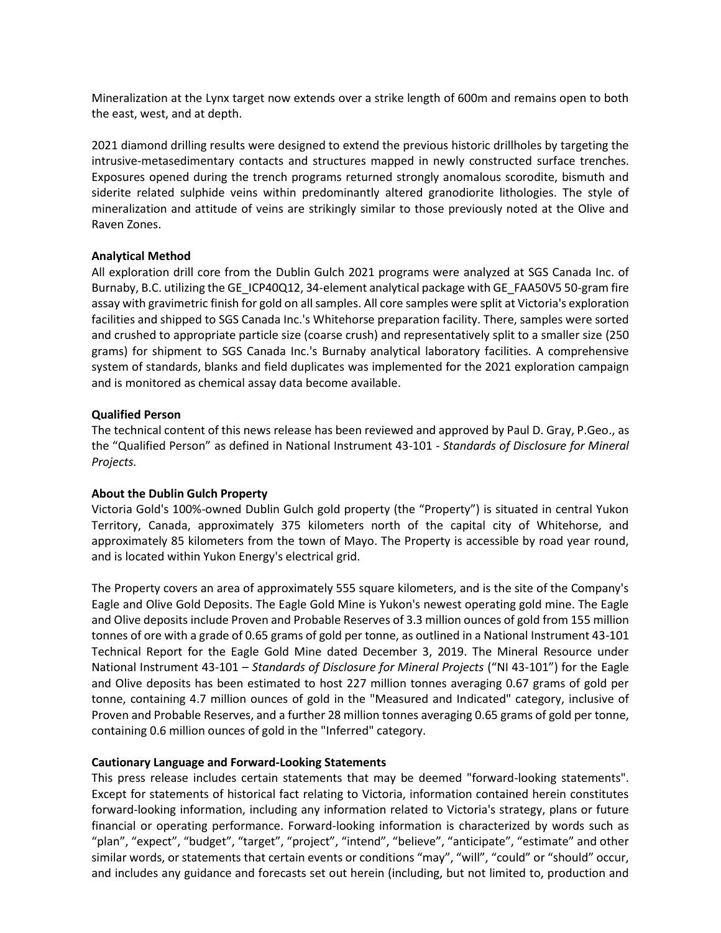Mineralization at the Lynx target now extends over a strike length of 600m and remains open to both the east, west, and at depth.

2021 diamond drilling results were designed to extend the previous historic drillholes by targeting the intrusive-metasedimentary contacts and structures mapped in newly constructed surface trenches. Exposures opened during the trench programs returned strongly anomalous scorodite, bismuth and siderite related sulphide veins within predominantly altered granodiorite lithologies. The style of mineralization and attitude of veins are strikingly similar to those previously noted at the Olive and Raven Zones.

### **Analytical Method**

All exploration drill core from the Dublin Gulch 2021 programs were analyzed at SGS Canada Inc. of Burnaby, B.C. utilizing the GE\_ICP40Q12, 34-element analytical package with GE\_FAA50V5 50-gram fire assay with gravimetric finish for gold on all samples. All core samples were split at Victoria's exploration facilities and shipped to SGS Canada Inc.'s Whitehorse preparation facility. There, samples were sorted and crushed to appropriate particle size (coarse crush) and representatively split to a smaller size (250 grams) for shipment to SGS Canada Inc.'s Burnaby analytical laboratory facilities. A comprehensive system of standards, blanks and field duplicates was implemented for the 2021 exploration campaign and is monitored as chemical assay data become available.

### **Qualified Person**

The technical content of this news release has been reviewed and approved by Paul D. Gray, P.Geo., as the "Qualified Person" as defined in National Instrument 43-101 - *Standards of Disclosure for Mineral Projects.*

# **About the Dublin Gulch Property**

Victoria Gold's 100%-owned Dublin Gulch gold property (the "Property") is situated in central Yukon Territory, Canada, approximately 375 kilometers north of the capital city of Whitehorse, and approximately 85 kilometers from the town of Mayo. The Property is accessible by road year round, and is located within Yukon Energy's electrical grid.

The Property covers an area of approximately 555 square kilometers, and is the site of the Company's Eagle and Olive Gold Deposits. The Eagle Gold Mine is Yukon's newest operating gold mine. The Eagle and Olive deposits include Proven and Probable Reserves of 3.3 million ounces of gold from 155 million tonnes of ore with a grade of 0.65 grams of gold per tonne, as outlined in a National Instrument 43-101 Technical Report for the Eagle Gold Mine dated December 3, 2019. The Mineral Resource under National Instrument 43-101 – *Standards of Disclosure for Mineral Projects* ("NI 43-101") for the Eagle and Olive deposits has been estimated to host 227 million tonnes averaging 0.67 grams of gold per tonne, containing 4.7 million ounces of gold in the "Measured and Indicated" category, inclusive of Proven and Probable Reserves, and a further 28 million tonnes averaging 0.65 grams of gold per tonne, containing 0.6 million ounces of gold in the "Inferred" category.

# **Cautionary Language and Forward-Looking Statements**

This press release includes certain statements that may be deemed "forward-looking statements". Except for statements of historical fact relating to Victoria, information contained herein constitutes forward-looking information, including any information related to Victoria's strategy, plans or future financial or operating performance. Forward-looking information is characterized by words such as "plan", "expect", "budget", "target", "project", "intend", "believe", "anticipate", "estimate" and other similar words, or statements that certain events or conditions "may", "will", "could" or "should" occur, and includes any guidance and forecasts set out herein (including, but not limited to, production and